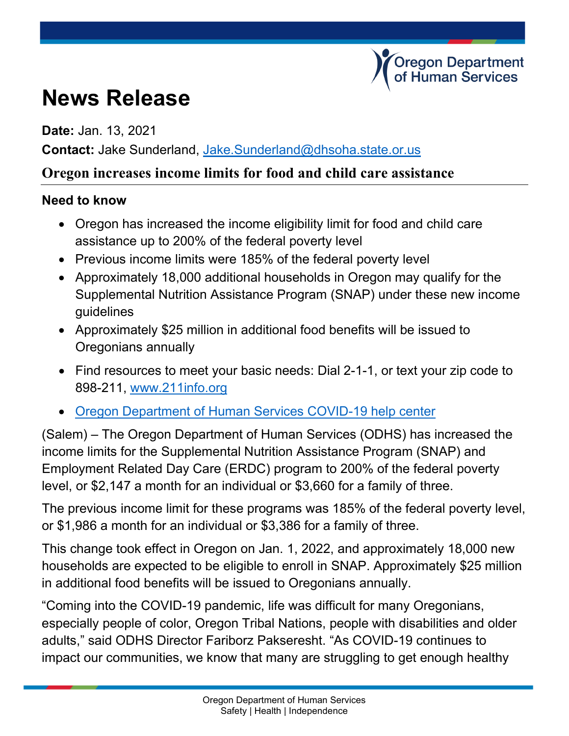## **regon Department** Human Services

# **News Release**

**Date:** Jan. 13, 2021

**Contact:** Jake Sunderland, [Jake.Sunderland@dhsoha.state.or.us](mailto:Jake.Sunderland@dhsoha.state.or.us)

### **Oregon increases income limits for food and child care assistance**

#### **Need to know**

- Oregon has increased the income eligibility limit for food and child care assistance up to 200% of the federal poverty level
- Previous income limits were 185% of the federal poverty level
- Approximately 18,000 additional households in Oregon may qualify for the Supplemental Nutrition Assistance Program (SNAP) under these new income guidelines
- Approximately \$25 million in additional food benefits will be issued to Oregonians annually
- Find resources to meet your basic needs: Dial 2-1-1, or text your zip code to 898-211, [www.211info.org](http://www.211info.org/)
- [Oregon Department of Human Services COVID-19 help center](https://www.oregon.gov/dhs/Pages/COVID-19.aspx)

(Salem) – The Oregon Department of Human Services (ODHS) has increased the income limits for the Supplemental Nutrition Assistance Program (SNAP) and Employment Related Day Care (ERDC) program to 200% of the federal poverty level, or \$2,147 a month for an individual or \$3,660 for a family of three.

The previous income limit for these programs was 185% of the federal poverty level, or \$1,986 a month for an individual or \$3,386 for a family of three.

This change took effect in Oregon on Jan. 1, 2022, and approximately 18,000 new households are expected to be eligible to enroll in SNAP. Approximately \$25 million in additional food benefits will be issued to Oregonians annually.

"Coming into the COVID-19 pandemic, life was difficult for many Oregonians, especially people of color, Oregon Tribal Nations, people with disabilities and older adults," said ODHS Director Fariborz Pakseresht. "As COVID-19 continues to impact our communities, we know that many are struggling to get enough healthy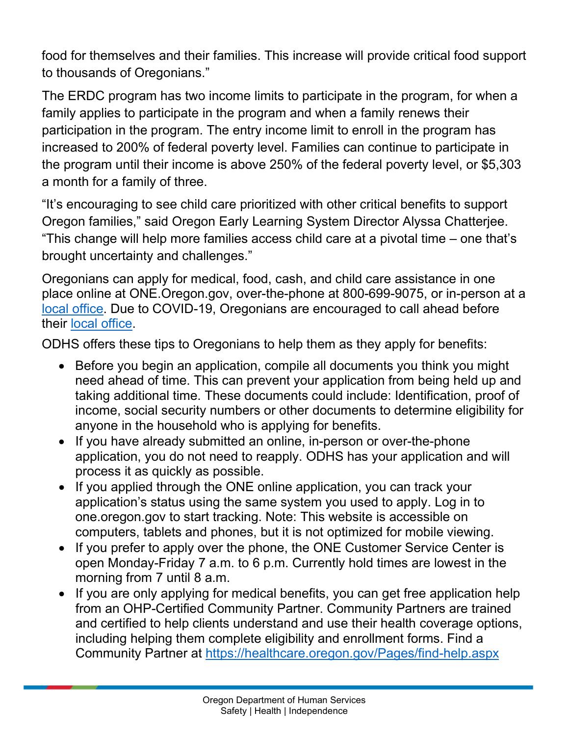food for themselves and their families. This increase will provide critical food support to thousands of Oregonians."

The ERDC program has two income limits to participate in the program, for when a family applies to participate in the program and when a family renews their participation in the program. The entry income limit to enroll in the program has increased to 200% of federal poverty level. Families can continue to participate in the program until their income is above 250% of the federal poverty level, or \$5,303 a month for a family of three.

"It's encouraging to see child care prioritized with other critical benefits to support Oregon families," said Oregon Early Learning System Director Alyssa Chatterjee. "This change will help more families access child care at a pivotal time – one that's brought uncertainty and challenges."

Oregonians can apply for medical, food, cash, and child care assistance in one place online at ONE.Oregon.gov, over-the-phone at 800-699-9075, or in-person at a [local office.](https://www.oregon.gov/dhs/Offices/Pages/Self-Sufficiency.aspx) Due to COVID-19, Oregonians are encouraged to call ahead before their [local office.](https://www.oregon.gov/dhs/Offices/Pages/Self-Sufficiency.aspx)

ODHS offers these tips to Oregonians to help them as they apply for benefits:

- Before you begin an application, compile all documents you think you might need ahead of time. This can prevent your application from being held up and taking additional time. These documents could include: Identification, proof of income, social security numbers or other documents to determine eligibility for anyone in the household who is applying for benefits.
- If you have already submitted an online, in-person or over-the-phone application, you do not need to reapply. ODHS has your application and will process it as quickly as possible.
- If you applied through the ONE online application, you can track your application's status using the same system you used to apply. Log in to one.oregon.gov to start tracking. Note: This website is accessible on computers, tablets and phones, but it is not optimized for mobile viewing.
- If you prefer to apply over the phone, the ONE Customer Service Center is open Monday-Friday 7 a.m. to 6 p.m. Currently hold times are lowest in the morning from 7 until 8 a.m.
- If you are only applying for medical benefits, you can get free application help from an OHP-Certified Community Partner. Community Partners are trained and certified to help clients understand and use their health coverage options, including helping them complete eligibility and enrollment forms. Find a Community Partner at<https://healthcare.oregon.gov/Pages/find-help.aspx>